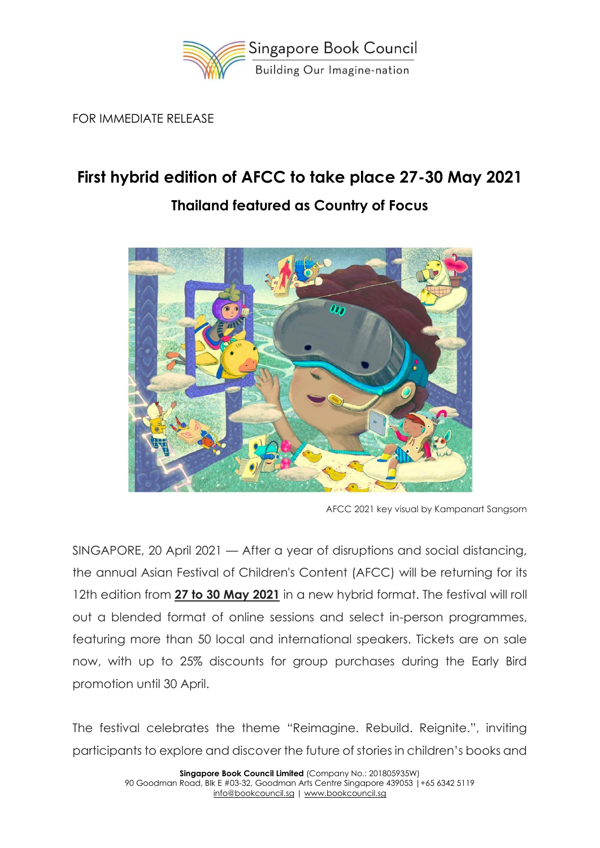

FOR IMMEDIATE RELEASE

# **First hybrid edition of AFCC to take place 27-30 May 2021**



# **Thailand featured as Country of Focus**

AFCC 2021 key visual by Kampanart Sangsorn

SINGAPORE, 20 April 2021 — After a year of disruptions and social distancing, the annual Asian Festival of Children's Content (AFCC) will be returning for its 12th edition from **27 to 30 May 2021** in a new hybrid format. The festival will roll out a blended format of online sessions and select in-person programmes, featuring more than 50 local and international speakers. Tickets are on sale now, with up to 25% discounts for group purchases during the Early Bird promotion until 30 April.

The festival celebrates the theme "Reimagine. Rebuild. Reignite.", inviting participants to explore and discover the future of stories in children's books and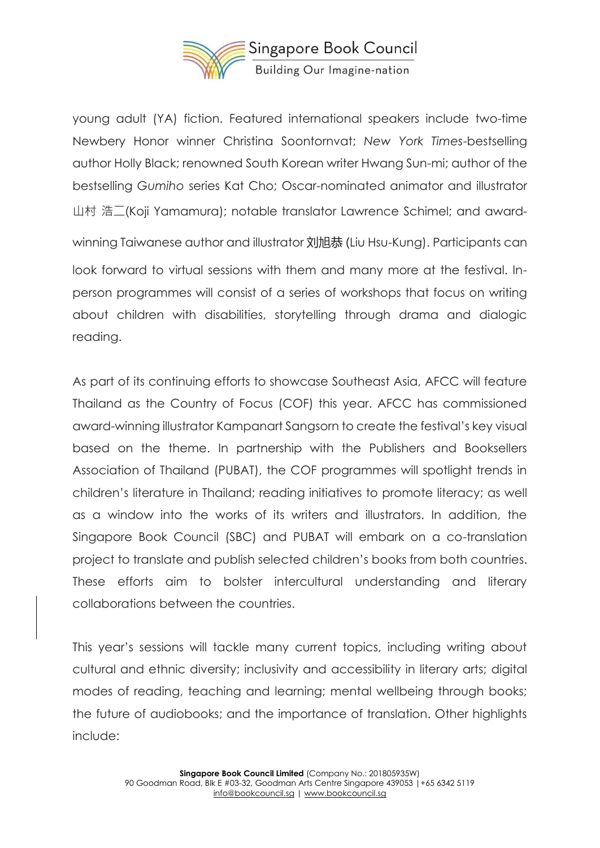

young adult (YA) fiction. Featured international speakers include two-time Newbery Honor winner Christina Soontornvat; *New York Times*-bestselling author Holly Black; renowned South Korean writer Hwang Sun-mi; author of the bestselling *Gumiho* series Kat Cho; Oscar-nominated animator and illustrator 山村 浩二(Koji Yamamura); notable translator Lawrence Schimel; and awardwinning Taiwanese author and illustrator 刘旭恭 (Liu Hsu-Kung). Participants can look forward to virtual sessions with them and many more at the festival. Inperson programmes will consist of a series of workshops that focus on writing about children with disabilities, storytelling through drama and dialogic reading.

As part of its continuing efforts to showcase Southeast Asia, AFCC will feature Thailand as the Country of Focus (COF) this year. AFCC has commissioned award-winning illustrator Kampanart Sangsorn to create the festival's key visual based on the theme. In partnership with the Publishers and Booksellers Association of Thailand (PUBAT), the COF programmes will spotlight trends in children's literature in Thailand; reading initiatives to promote literacy; as well as a window into the works of its writers and illustrators. In addition, the Singapore Book Council (SBC) and PUBAT will embark on a co-translation project to translate and publish selected children's books from both countries. These efforts aim to bolster intercultural understanding and literary collaborations between the countries.

This year's sessions will tackle many current topics, including writing about cultural and ethnic diversity; inclusivity and accessibility in literary arts; digital modes of reading, teaching and learning; mental wellbeing through books; the future of audiobooks; and the importance of translation. Other highlights include: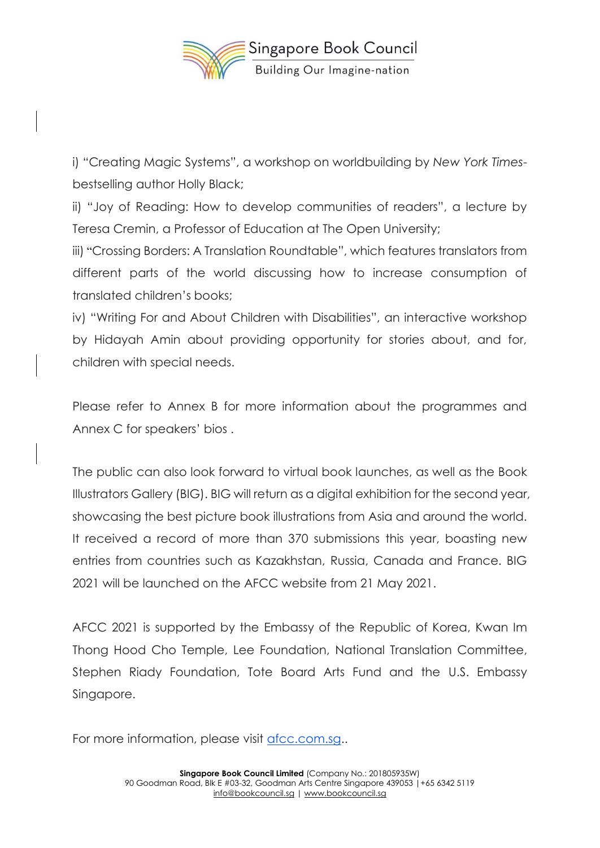

i) "Creating Magic Systems", a workshop on worldbuilding by *New York Times*bestselling author Holly Black;

ii) "Joy of Reading: How to develop communities of readers", a lecture by Teresa Cremin, a Professor of Education at The Open University;

iii) "Crossing Borders: A Translation Roundtable", which features translators from different parts of the world discussing how to increase consumption of translated children's books;

iv) "Writing For and About Children with Disabilities", an interactive workshop by Hidayah Amin about providing opportunity for stories about, and for, children with special needs.

Please refer to Annex B for more information about the programmes and Annex C for speakers' bios .

The public can also look forward to virtual book launches, as well as the Book Illustrators Gallery (BIG). BIG will return as a digital exhibition for the second year, showcasing the best picture book illustrations from Asia and around the world. It received a record of more than 370 submissions this year, boasting new entries from countries such as Kazakhstan, Russia, Canada and France. BIG 2021 will be launched on the AFCC website from 21 May 2021.

AFCC 2021 is supported by the Embassy of the Republic of Korea, Kwan Im Thong Hood Cho Temple, Lee Foundation, National Translation Committee, Stephen Riady Foundation, Tote Board Arts Fund and the U.S. Embassy Singapore.

For more information, please visit [afcc.com.sg.](https://afcc.com.sg/).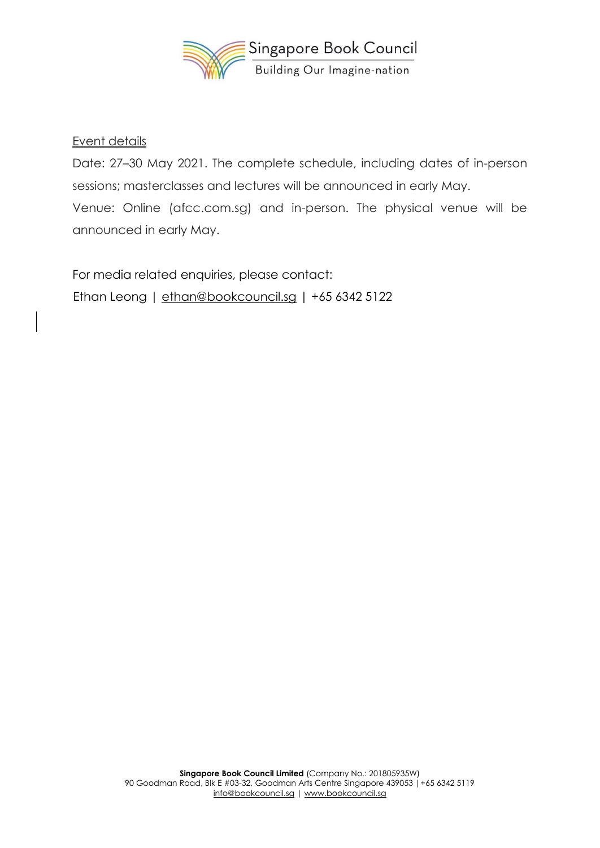

#### Event details

Date: 27–30 May 2021. The complete schedule, including dates of in-person sessions; masterclasses and lectures will be announced in early May. Venue: Online (afcc.com.sg) and in-person. The physical venue will be announced in early May.

For media related enquiries, please contact: Ethan Leong | [ethan@bookcouncil.sg](mailto:ethan@bookcouncil.sg) | +65 6342 5122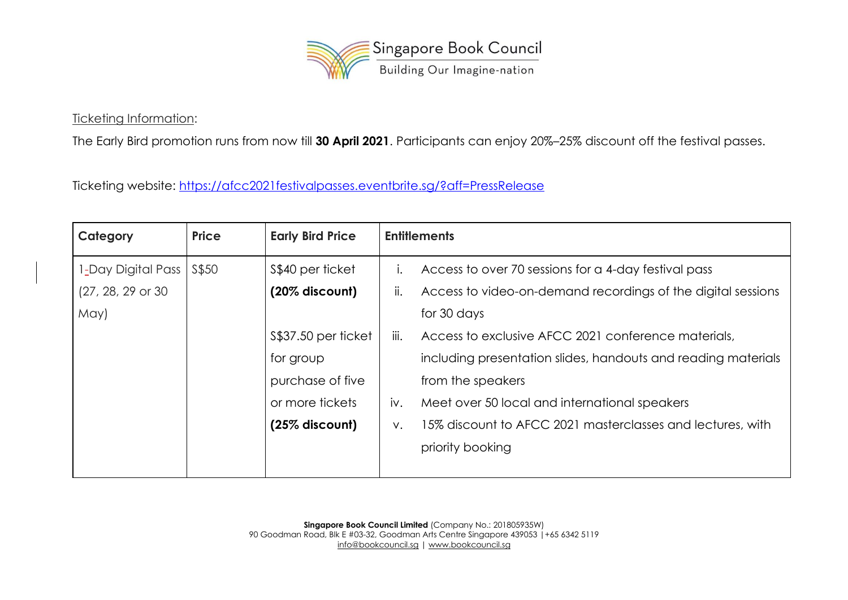

Ticketing Information:

The Early Bird promotion runs from now till **30 April 2021**. Participants can enjoy 20%–25% discount off the festival passes.

Ticketing website:<https://afcc2021festivalpasses.eventbrite.sg/?aff=PressRelease>

| Category             | <b>Price</b> | <b>Early Bird Price</b> | <b>Entitlements</b> |                                                               |
|----------------------|--------------|-------------------------|---------------------|---------------------------------------------------------------|
| 1-Day Digital Pass   | S\$50        | \$\$40 per ticket       |                     | Access to over 70 sessions for a 4-day festival pass          |
| $(27, 28, 29)$ or 30 |              | $(20\%$ discount)       | ii.                 | Access to video-on-demand recordings of the digital sessions  |
| May)                 |              |                         |                     | for 30 days                                                   |
|                      |              | \$\$37.50 per ticket    | iii.                | Access to exclusive AFCC 2021 conference materials,           |
|                      |              | for group               |                     | including presentation slides, handouts and reading materials |
|                      |              | purchase of five        |                     | from the speakers                                             |
|                      |              | or more tickets         | iv.                 | Meet over 50 local and international speakers                 |
|                      |              | $(25\%$ discount)       | ν.                  | 15% discount to AFCC 2021 masterclasses and lectures, with    |
|                      |              |                         |                     | priority booking                                              |
|                      |              |                         |                     |                                                               |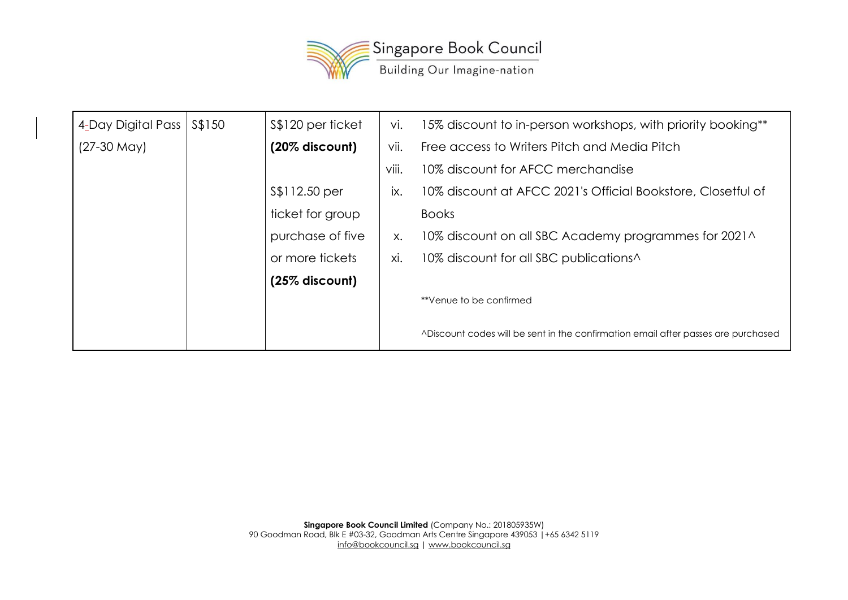

| 4-Day Digital Pass | S\$150 | \$\$120 per ticket | Vİ.   | 15% discount to in-person workshops, with priority booking**                       |  |
|--------------------|--------|--------------------|-------|------------------------------------------------------------------------------------|--|
| $(27-30$ May)      |        | $(20\%$ discount)  | vii.  | Free access to Writers Pitch and Media Pitch                                       |  |
|                    |        |                    | viii. | 10% discount for AFCC merchandise                                                  |  |
|                    |        | \$\$112.50 per     | IX.   | 10% discount at AFCC 2021's Official Bookstore, Closetful of                       |  |
|                    |        | ticket for group   |       | <b>Books</b>                                                                       |  |
|                    |        | purchase of five   | X.    | 10% discount on all SBC Academy programmes for 2021^                               |  |
|                    |        | or more tickets    | xi.   | 10% discount for all SBC publications <sup>1</sup>                                 |  |
|                    |        | $(25\%$ discount)  |       |                                                                                    |  |
|                    |        |                    |       | **Venue to be confirmed                                                            |  |
|                    |        |                    |       | A Discount codes will be sent in the confirmation email after passes are purchased |  |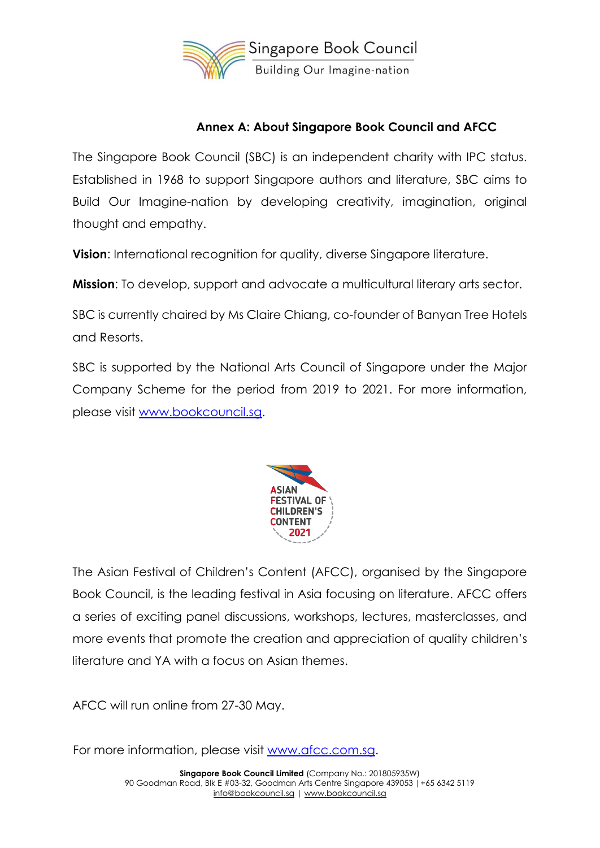

## **Annex A: About Singapore Book Council and AFCC**

The Singapore Book Council (SBC) is an independent charity with IPC status. Established in 1968 to support Singapore authors and literature, SBC aims to Build Our Imagine-nation by developing creativity, imagination, original thought and empathy.

**Vision**: International recognition for quality, diverse Singapore literature.

**Mission**: To develop, support and advocate a multicultural literary arts sector.

SBC is currently chaired by Ms Claire Chiang, co-founder of Banyan Tree Hotels and Resorts.

SBC is supported by the National Arts Council of Singapore under the Major Company Scheme for the period from 2019 to 2021. For more information, please visit [www.bookcouncil.sg.](http://www.bookcouncil.sg/)



The Asian Festival of Children's Content (AFCC), organised by the Singapore Book Council, is the leading festival in Asia focusing on literature. AFCC offers a series of exciting panel discussions, workshops, lectures, masterclasses, and more events that promote the creation and appreciation of quality children's literature and YA with a focus on Asian themes.

AFCC will run online from 27-30 May.

For more information, please visit [www.afcc.com.sg.](http://www.afcc.com.sg/)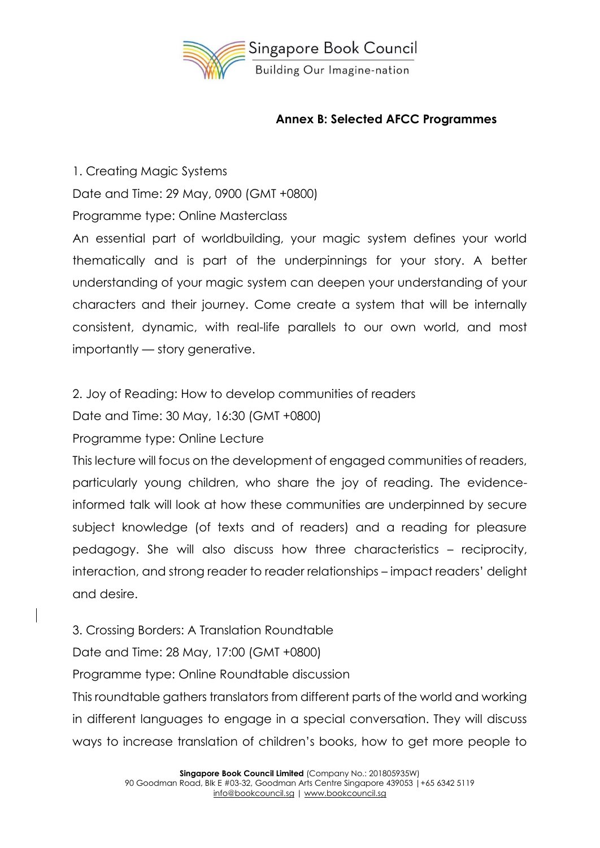

### **Annex B: Selected AFCC Programmes**

1. Creating Magic Systems

Date and Time: 29 May, 0900 (GMT +0800)

Programme type: Online Masterclass

An essential part of worldbuilding, your magic system defines your world thematically and is part of the underpinnings for your story. A better understanding of your magic system can deepen your understanding of your characters and their journey. Come create a system that will be internally consistent, dynamic, with real-life parallels to our own world, and most importantly — story generative.

2. Joy of Reading: How to develop communities of readers

Date and Time: 30 May, 16:30 (GMT +0800)

Programme type: Online Lecture

This lecture will focus on the development of engaged communities of readers, particularly young children, who share the joy of reading. The evidenceinformed talk will look at how these communities are underpinned by secure subject knowledge (of texts and of readers) and a reading for pleasure pedagogy. She will also discuss how three characteristics – reciprocity, interaction, and strong reader to reader relationships – impact readers' delight and desire.

3. Crossing Borders: A Translation Roundtable

Date and Time: 28 May, 17:00 (GMT +0800)

Programme type: Online Roundtable discussion

This roundtable gathers translators from different parts of the world and working in different languages to engage in a special conversation. They will discuss ways to increase translation of children's books, how to get more people to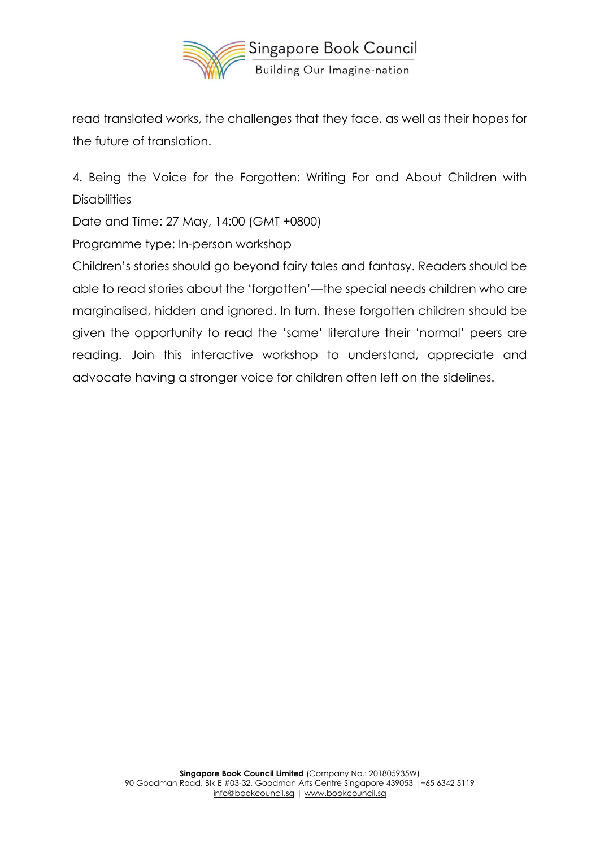

read translated works, the challenges that they face, as well as their hopes for the future of translation.

4. Being the Voice for the Forgotten: Writing For and About Children with **Disabilities** 

Date and Time: 27 May, 14:00 (GMT +0800)

Programme type: In-person workshop

Children's stories should go beyond fairy tales and fantasy. Readers should be able to read stories about the 'forgotten'—the special needs children who are marginalised, hidden and ignored. In turn, these forgotten children should be given the opportunity to read the 'same' literature their 'normal' peers are reading. Join this interactive workshop to understand, appreciate and advocate having a stronger voice for children often left on the sidelines.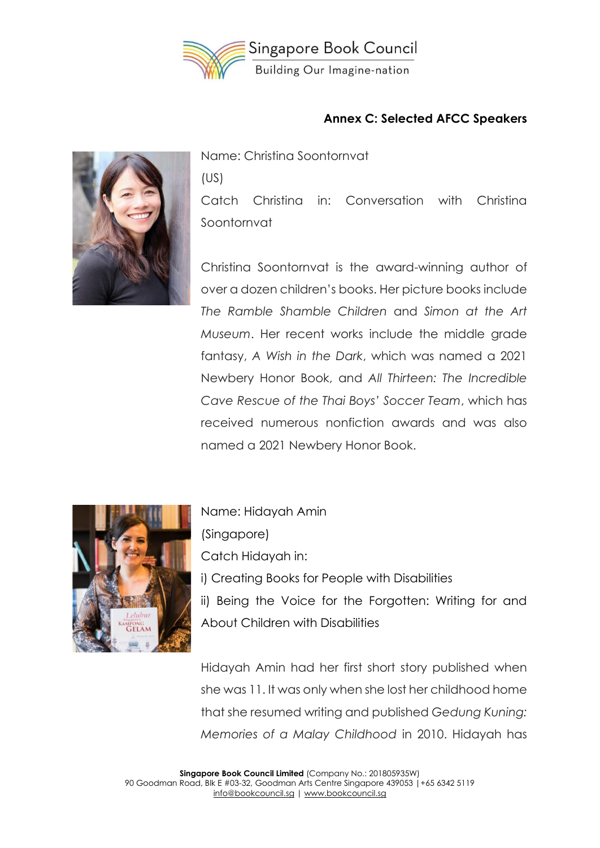

#### **Annex C: Selected AFCC Speakers**



Name: Christina Soontornvat (US) Catch Christina in: Conversation with Christina Soontornvat

Christina Soontornvat is the award-winning author of over a dozen children's books. Her picture books include *The Ramble Shamble Children* and *Simon at the Art Museum*. Her recent works include the middle grade fantasy, *A Wish in the Dark*, which was named a 2021 Newbery Honor Book, and *All Thirteen: The Incredible Cave Rescue of the Thai Boys' Soccer Team*, which has received numerous nonfiction awards and was also named a 2021 Newbery Honor Book.



Name: Hidayah Amin (Singapore) Catch Hidayah in: i) Creating Books for People with Disabilities ii) Being the Voice for the Forgotten: Writing for and About Children with Disabilities

Hidayah Amin had her first short story published when she was 11. It was only when she lost her childhood home that she resumed writing and published *Gedung Kuning: Memories of a Malay Childhood* in 2010. Hidayah has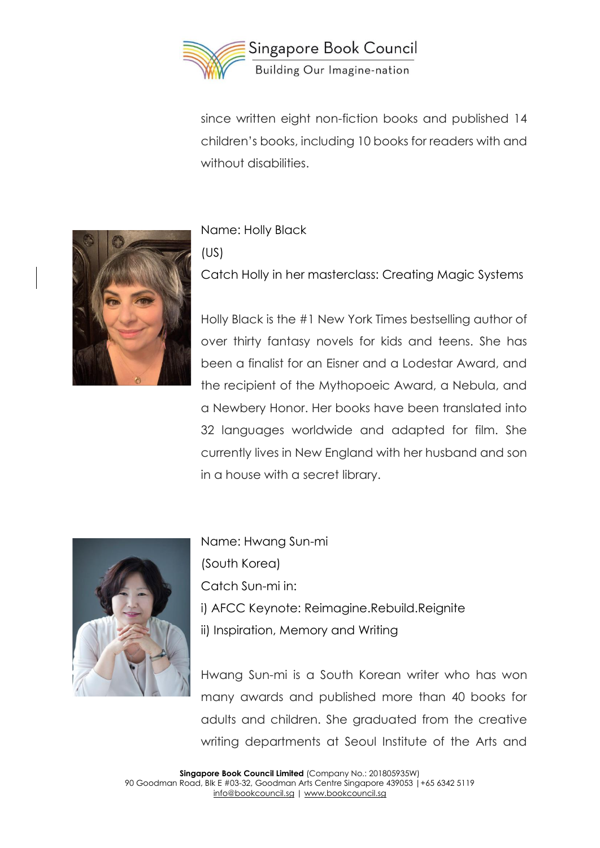

since written eight non-fiction books and published 14 children's books, including 10 books for readers with and without disabilities.



Name: Holly Black (US) Catch Holly in her masterclass: Creating Magic Systems

Holly Black is the #1 New York Times bestselling author of over thirty fantasy novels for kids and teens. She has been a finalist for an Eisner and a Lodestar Award, and the recipient of the Mythopoeic Award, a Nebula, and a Newbery Honor. Her books have been translated into 32 languages worldwide and adapted for film. She currently lives in New England with her husband and son in a house with a secret library.



Name: Hwang Sun-mi (South Korea) Catch Sun-mi in: i) AFCC Keynote: Reimagine.Rebuild.Reignite ii) Inspiration, Memory and Writing

Hwang Sun-mi is a South Korean writer who has won many awards and published more than 40 books for adults and children. She graduated from the creative writing departments at Seoul Institute of the Arts and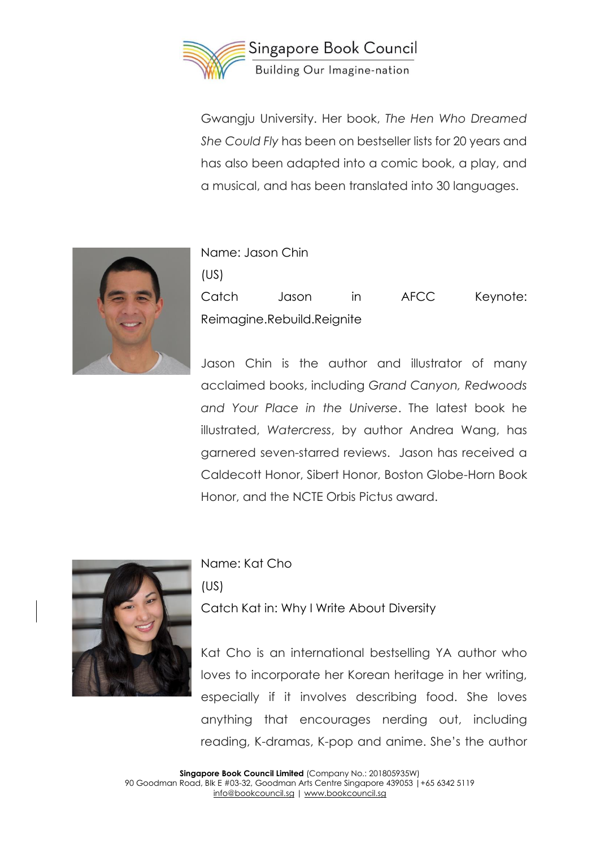

Gwangju University. Her book, *The Hen Who Dreamed She Could Fly* has been on bestseller lists for 20 years and has also been adapted into a comic book, a play, and a musical, and has been translated into 30 languages.



| Name: Jason Chin |                            |       |      |          |
|------------------|----------------------------|-------|------|----------|
| (US)             |                            |       |      |          |
| Catch            | Jason                      | in in | AFCC | Keynote: |
|                  | Reimagine.Rebuild.Reignite |       |      |          |

Jason Chin is the author and illustrator of many acclaimed books, including *Grand Canyon, Redwoods and Your Place in the Universe*. The latest book he illustrated, *Watercress*, by author Andrea Wang, has garnered seven-starred reviews. Jason has received a Caldecott Honor, Sibert Honor, Boston Globe-Horn Book Honor, and the NCTE Orbis Pictus award.



Name: Kat Cho

(US)

Catch Kat in: Why I Write About Diversity

Kat Cho is an international bestselling YA author who loves to incorporate her Korean heritage in her writing, especially if it involves describing food. She loves anything that encourages nerding out, including reading, K-dramas, K-pop and anime. She's the author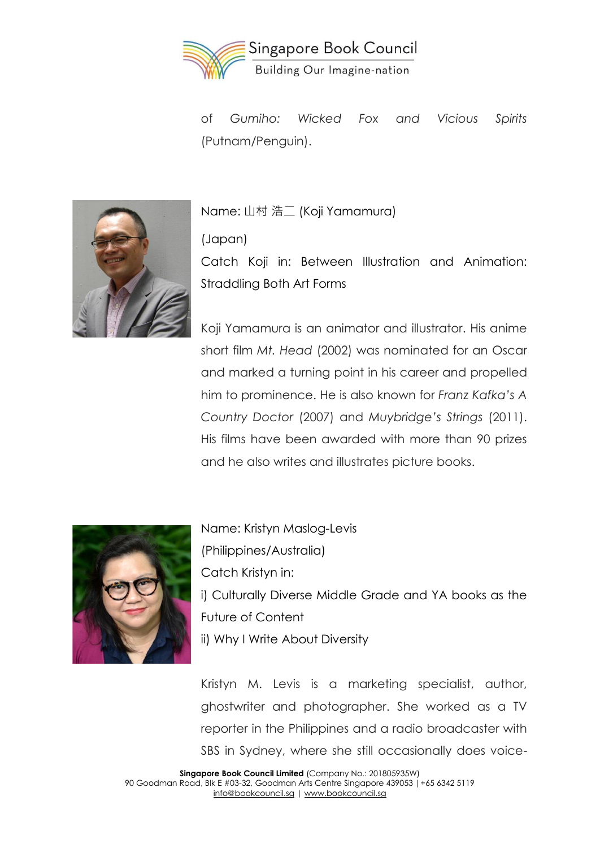

of *Gumiho: Wicked Fox and Vicious Spirits*  (Putnam/Penguin).



Name: 山村 浩二 (Koji Yamamura)

(Japan)

Catch Koji in: Between Illustration and Animation: Straddling Both Art Forms

Koji Yamamura is an animator and illustrator. His anime short film *Mt. Head* (2002) was nominated for an Oscar and marked a turning point in his career and propelled him to prominence. He is also known for *Franz Kafka's A Country Doctor* (2007) and *Muybridge's Strings* (2011). His films have been awarded with more than 90 prizes and he also writes and illustrates picture books.



Name: Kristyn Maslog-Levis (Philippines/Australia) Catch Kristyn in: i) Culturally Diverse Middle Grade and YA books as the Future of Content ii) Why I Write About Diversity

Kristyn M. Levis is a marketing specialist, author, ghostwriter and photographer. She worked as a TV reporter in the Philippines and a radio broadcaster with SBS in Sydney, where she still occasionally does voice-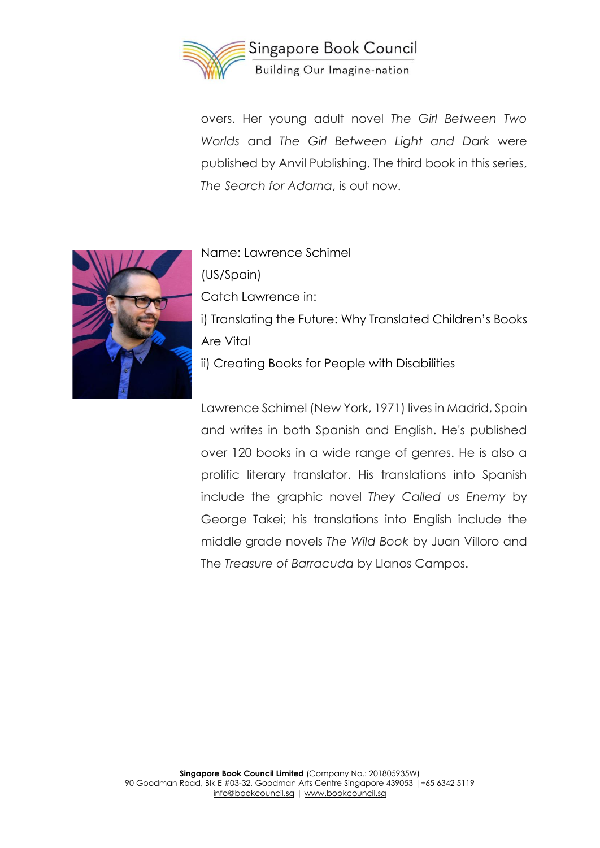

overs. Her young adult novel *The Girl Between Two Worlds* and *The Girl Between Light and Dark* were published by Anvil Publishing. The third book in this series, *The Search for Adarna*, is out now.



Name: Lawrence Schimel (US/Spain) Catch Lawrence in: i) Translating the Future: Why Translated Children's Books Are Vital ii) Creating Books for People with Disabilities

Lawrence Schimel (New York, 1971) lives in Madrid, Spain and writes in both Spanish and English. He's published over 120 books in a wide range of genres. He is also a prolific literary translator. His translations into Spanish include the graphic novel *They Called us Enemy* by George Takei; his translations into English include the middle grade novels *The Wild Book* by Juan Villoro and The *Treasure of Barracuda* by Llanos Campos.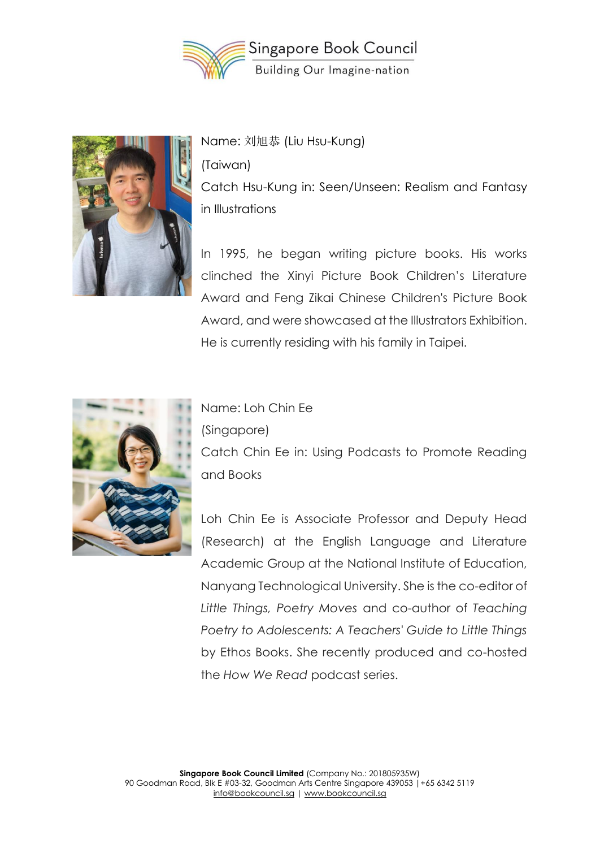



Name: 刘旭恭 (Liu Hsu-Kung) (Taiwan) Catch Hsu-Kung in: Seen/Unseen: Realism and Fantasy in Illustrations

In 1995, he began writing picture books. His works clinched the Xinyi Picture Book Children's Literature Award and Feng Zikai Chinese Children's Picture Book Award, and were showcased at the Illustrators Exhibition. He is currently residing with his family in Taipei.



Name: Loh Chin Ee

(Singapore)

Catch Chin Ee in: Using Podcasts to Promote Reading and Books

Loh Chin Ee is Associate Professor and Deputy Head (Research) at the English Language and Literature Academic Group at the National Institute of Education, Nanyang Technological University. She is the co-editor of *Little Things, Poetry Moves* and co-author of *Teaching Poetry to Adolescents: A Teachers' Guide to Little Things* by Ethos Books. She recently produced and co-hosted the *How We Read* podcast series.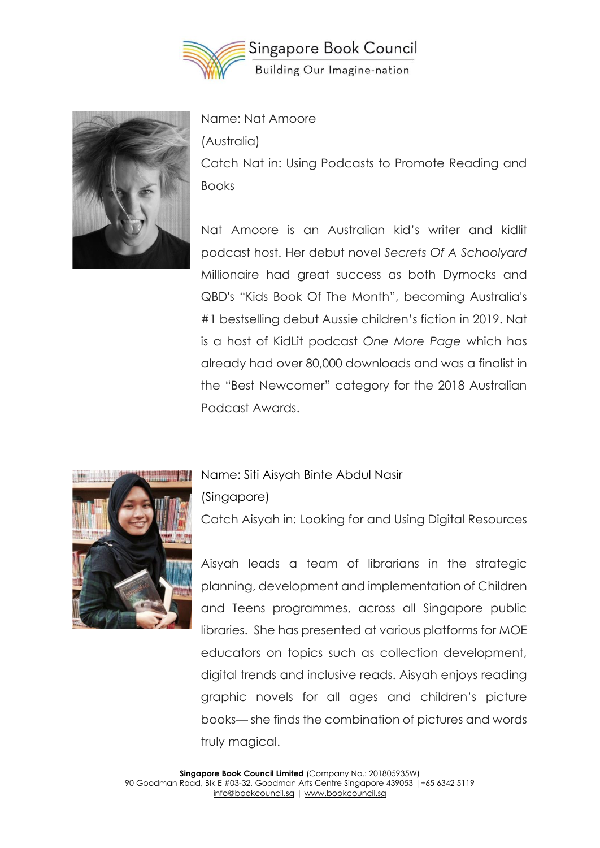



Name: Nat Amoore

(Australia)

Catch Nat in: Using Podcasts to Promote Reading and Books

Nat Amoore is an Australian kid's writer and kidlit podcast host. Her debut novel *Secrets Of A Schoolyard* Millionaire had great success as both Dymocks and QBD's "Kids Book Of The Month", becoming Australia's #1 bestselling debut Aussie children's fiction in 2019. Nat is a host of KidLit podcast *One More Page* which has already had over 80,000 downloads and was a finalist in the "Best Newcomer" category for the 2018 Australian Podcast Awards.



#### Name: Siti Aisyah Binte Abdul Nasir

(Singapore)

Catch Aisyah in: Looking for and Using Digital Resources

Aisyah leads a team of librarians in the strategic planning, development and implementation of Children and Teens programmes, across all Singapore public libraries. She has presented at various platforms for MOE educators on topics such as collection development, digital trends and inclusive reads. Aisyah enjoys reading graphic novels for all ages and children's picture books— she finds the combination of pictures and words truly magical.